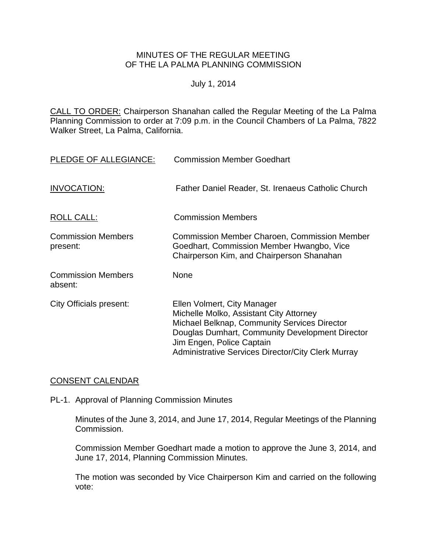## MINUTES OF THE REGULAR MEETING OF THE LA PALMA PLANNING COMMISSION

## July 1, 2014

CALL TO ORDER: Chairperson [Shanahan called the Regular Meeting of the La Palma](http://lapalma.granicus.com/MediaPlayer.php?view_id=&clip_id=836&meta_id=110942)  Planning Commission to order at 7:09 [p.m. in the Council Chambers of La Palma, 7822](http://lapalma.granicus.com/MediaPlayer.php?view_id=&clip_id=836&meta_id=110942)  [Walker Street, La Palma, California.](http://lapalma.granicus.com/MediaPlayer.php?view_id=&clip_id=836&meta_id=110942)

| PLEDGE OF ALLEGIANCE:                 | <b>Commission Member Goedhart</b>                                                                                                                                                                                                                                          |
|---------------------------------------|----------------------------------------------------------------------------------------------------------------------------------------------------------------------------------------------------------------------------------------------------------------------------|
| <b>INVOCATION:</b>                    | Father Daniel Reader, St. Irenaeus Catholic Church                                                                                                                                                                                                                         |
| ROLL CALL:                            | <b>Commission Members</b>                                                                                                                                                                                                                                                  |
| <b>Commission Members</b><br>present: | <b>Commission Member Charoen, Commission Member</b><br>Goedhart, Commission Member Hwangbo, Vice<br>Chairperson Kim, and Chairperson Shanahan                                                                                                                              |
| <b>Commission Members</b><br>absent:  | None                                                                                                                                                                                                                                                                       |
| City Officials present:               | Ellen Volmert, City Manager<br>Michelle Molko, Assistant City Attorney<br><b>Michael Belknap, Community Services Director</b><br>Douglas Dumhart, Community Development Director<br>Jim Engen, Police Captain<br><b>Administrative Services Director/City Clerk Murray</b> |

## [CONSENT CALENDAR](http://lapalma.granicus.com/MediaPlayer.php?view_id=&clip_id=836&meta_id=111000)

#### PL-1. [Approval of Planning Commission Minutes](http://lapalma.granicus.com/MediaPlayer.php?view_id=&clip_id=836&meta_id=111001)

Minutes of the June 3, 2014, and June 17, 2014, Regular Meetings of the Planning Commission.

Commission Member Goedhart made a motion to approve the June 3, 2014, and June 17, 2014, Planning Commission Minutes.

The motion was seconded by Vice Chairperson Kim and carried on the following vote: